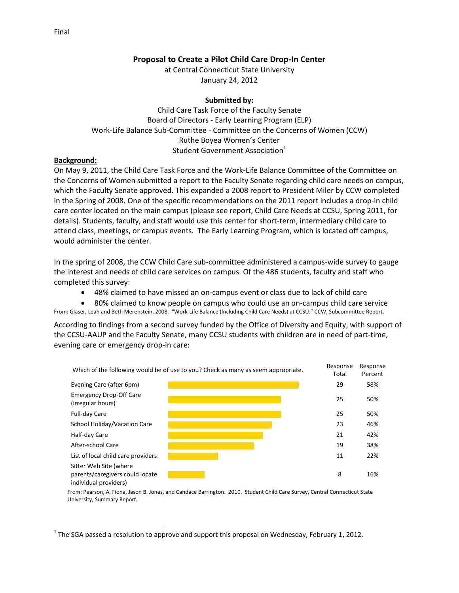## **Proposal to Create a Pilot Child Care Drop-In Center**

at Central Connecticut State University January 24, 2012

## **Submitted by:**

Child Care Task Force of the Faculty Senate Board of Directors - Early Learning Program (ELP) Work-Life Balance Sub-Committee - Committee on the Concerns of Women (CCW) Ruthe Boyea Women's Center Student Government Association<sup>1</sup>

## **Background:**

 $\overline{\phantom{a}}$ 

On May 9, 2011, the Child Care Task Force and the Work-Life Balance Committee of the Committee on the Concerns of Women submitted a report to the Faculty Senate regarding child care needs on campus, which the Faculty Senate approved. This expanded a 2008 report to President Miler by CCW completed in the Spring of 2008. One of the specific recommendations on the 2011 report includes a drop-in child care center located on the main campus (please see report, Child Care Needs at CCSU, Spring 2011, for details). Students, faculty, and staff would use this center for short-term, intermediary child care to attend class, meetings, or campus events. The Early Learning Program, which is located off campus, would administer the center.

In the spring of 2008, the CCW Child Care sub-committee administered a campus-wide survey to gauge the interest and needs of child care services on campus. Of the 486 students, faculty and staff who completed this survey:

48% claimed to have missed an on-campus event or class due to lack of child care

 80% claimed to know people on campus who could use an on-campus child care service From: Glaser, Leah and Beth Merenstein. 2008. "Work-Life Balance (Including Child Care Needs) at CCSU." CCW, Subcommittee Report.

According to findings from a second survey funded by the Office of Diversity and Equity, with support of the CCSU-AAUP and the Faculty Senate, many CCSU students with children are in need of part-time, evening care or emergency drop-in care:



From: Pearson, A. Fiona, Jason B. Jones, and Candace Barrington. 2010. Student Child Care Survey, Central Connecticut State University, Summary Report.

 $^1$  The SGA passed a resolution to approve and support this proposal on Wednesday, February 1, 2012.